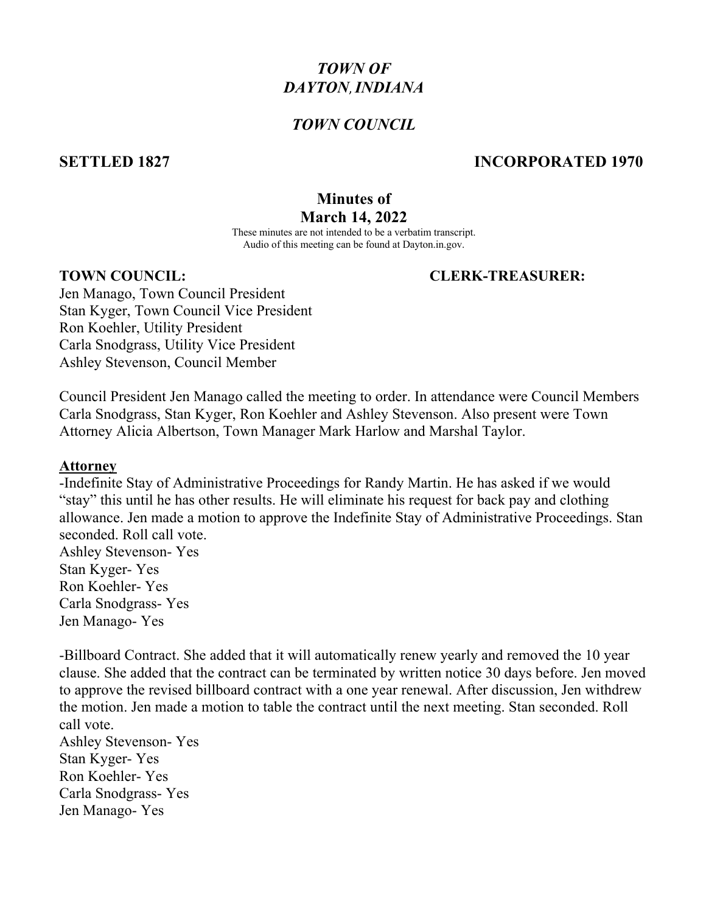# *TOWN OF DAYTON*,*INDIANA*

#### *TOWN COUNCIL*

#### **SETTLED 1827 INCORPORATED 1970**

## **Minutes of March 14, 2022**

These minutes are not intended to be a verbatim transcript. Audio of this meeting can be found at Dayton.in.gov.

#### **TOWN COUNCIL: CLERK-TREASURER:**

Jen Manago, Town Council President Stan Kyger, Town Council Vice President Ron Koehler, Utility President Carla Snodgrass, Utility Vice President Ashley Stevenson, Council Member

Council President Jen Manago called the meeting to order. In attendance were Council Members Carla Snodgrass, Stan Kyger, Ron Koehler and Ashley Stevenson. Also present were Town Attorney Alicia Albertson, Town Manager Mark Harlow and Marshal Taylor.

#### **Attorney**

-Indefinite Stay of Administrative Proceedings for Randy Martin. He has asked if we would "stay" this until he has other results. He will eliminate his request for back pay and clothing allowance. Jen made a motion to approve the Indefinite Stay of Administrative Proceedings. Stan seconded. Roll call vote. Ashley Stevenson- Yes

Stan Kyger- Yes Ron Koehler- Yes Carla Snodgrass- Yes Jen Manago- Yes

-Billboard Contract. She added that it will automatically renew yearly and removed the 10 year clause. She added that the contract can be terminated by written notice 30 days before. Jen moved to approve the revised billboard contract with a one year renewal. After discussion, Jen withdrew the motion. Jen made a motion to table the contract until the next meeting. Stan seconded. Roll call vote.

Ashley Stevenson- Yes Stan Kyger- Yes Ron Koehler- Yes Carla Snodgrass- Yes Jen Manago- Yes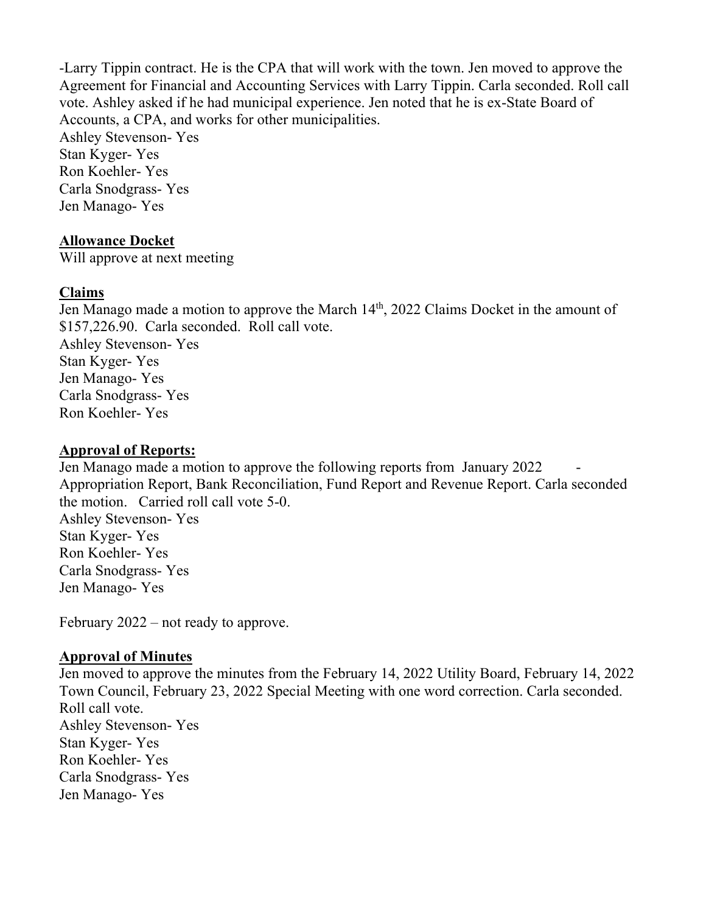-Larry Tippin contract. He is the CPA that will work with the town. Jen moved to approve the Agreement for Financial and Accounting Services with Larry Tippin. Carla seconded. Roll call vote. Ashley asked if he had municipal experience. Jen noted that he is ex-State Board of Accounts, a CPA, and works for other municipalities.

Ashley Stevenson- Yes Stan Kyger- Yes Ron Koehler- Yes Carla Snodgrass- Yes Jen Manago- Yes

#### **Allowance Docket**

Will approve at next meeting

#### **Claims**

Jen Manago made a motion to approve the March 14<sup>th</sup>, 2022 Claims Docket in the amount of \$157,226.90. Carla seconded. Roll call vote. Ashley Stevenson- Yes Stan Kyger- Yes Jen Manago- Yes Carla Snodgrass- Yes Ron Koehler- Yes

## **Approval of Reports:**

Jen Manago made a motion to approve the following reports from January 2022 Appropriation Report, Bank Reconciliation, Fund Report and Revenue Report. Carla seconded the motion. Carried roll call vote 5-0. Ashley Stevenson- Yes Stan Kyger- Yes Ron Koehler- Yes Carla Snodgrass- Yes

February 2022 – not ready to approve.

### **Approval of Minutes**

Jen Manago- Yes

Jen moved to approve the minutes from the February 14, 2022 Utility Board, February 14, 2022 Town Council, February 23, 2022 Special Meeting with one word correction. Carla seconded. Roll call vote. Ashley Stevenson- Yes Stan Kyger- Yes Ron Koehler- Yes Carla Snodgrass- Yes Jen Manago- Yes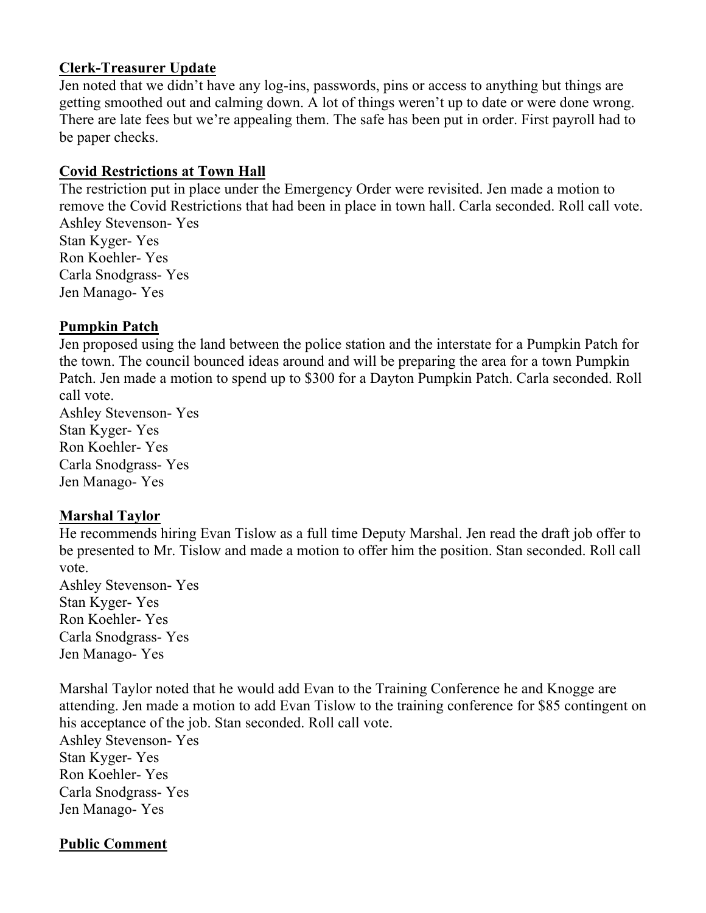### **Clerk-Treasurer Update**

Jen noted that we didn't have any log-ins, passwords, pins or access to anything but things are getting smoothed out and calming down. A lot of things weren't up to date or were done wrong. There are late fees but we're appealing them. The safe has been put in order. First payroll had to be paper checks.

#### **Covid Restrictions at Town Hall**

The restriction put in place under the Emergency Order were revisited. Jen made a motion to remove the Covid Restrictions that had been in place in town hall. Carla seconded. Roll call vote. Ashley Stevenson- Yes Stan Kyger- Yes

Ron Koehler- Yes Carla Snodgrass- Yes Jen Manago- Yes

### **Pumpkin Patch**

Jen proposed using the land between the police station and the interstate for a Pumpkin Patch for the town. The council bounced ideas around and will be preparing the area for a town Pumpkin Patch. Jen made a motion to spend up to \$300 for a Dayton Pumpkin Patch. Carla seconded. Roll call vote. Ashley Stevenson- Yes

Stan Kyger- Yes Ron Koehler- Yes Carla Snodgrass- Yes Jen Manago- Yes

### **Marshal Taylor**

He recommends hiring Evan Tislow as a full time Deputy Marshal. Jen read the draft job offer to be presented to Mr. Tislow and made a motion to offer him the position. Stan seconded. Roll call vote.

Ashley Stevenson- Yes Stan Kyger- Yes Ron Koehler- Yes Carla Snodgrass- Yes Jen Manago- Yes

Marshal Taylor noted that he would add Evan to the Training Conference he and Knogge are attending. Jen made a motion to add Evan Tislow to the training conference for \$85 contingent on his acceptance of the job. Stan seconded. Roll call vote. Ashley Stevenson- Yes

Stan Kyger- Yes Ron Koehler- Yes Carla Snodgrass- Yes Jen Manago- Yes

### **Public Comment**